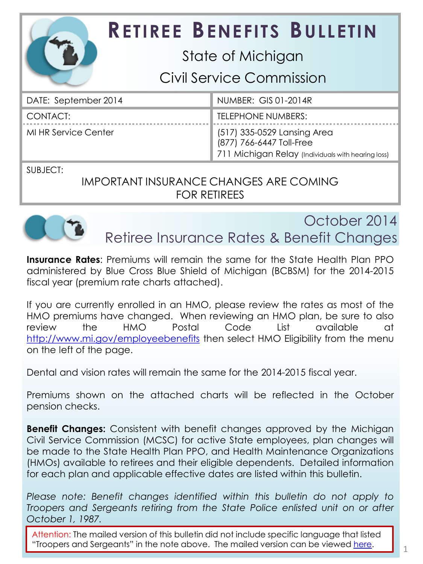| <b>RETIREE BENEFITS BULLETIN</b> |                                                                                                               |
|----------------------------------|---------------------------------------------------------------------------------------------------------------|
| State of Michigan                |                                                                                                               |
| Civil Service Commission         |                                                                                                               |
| DATE: September 2014             | NUMBER: GIS 01-2014R                                                                                          |
| CONTACT:                         | <b>TELEPHONE NUMBERS:</b>                                                                                     |
| <b>MI HR Service Center</b>      | (517) 335-0529 Lansing Area<br>(877) 766-6447 Toll-Free<br>711 Michigan Relay (Individuals with hearing loss) |

SUBJECT:

IMPORTANT INSURANCE CHANGES ARE COMING FOR RETIREES



October 2014 Retiree Insurance Rates & Benefit Changes

**Insurance Rates**: Premiums will remain the same for the State Health Plan PPO administered by Blue Cross Blue Shield of Michigan (BCBSM) for the 2014-2015 fiscal year (premium rate charts attached).

If you are currently enrolled in an HMO, please review the rates as most of the HMO premiums have changed. When reviewing an HMO plan, be sure to also review the HMO Postal Code List available at <http://www.mi.gov/employeebenefits> then select HMO Eligibility from the menu on the left of the page.

Dental and vision rates will remain the same for the 2014-2015 fiscal year.

Premiums shown on the attached charts will be reflected in the October pension checks.

**Benefit Changes:** Consistent with benefit changes approved by the Michigan Civil Service Commission (MCSC) for active State employees, plan changes will be made to the State Health Plan PPO, and Health Maintenance Organizations (HMOs) available to retirees and their eligible dependents. Detailed information for each plan and applicable effective dates are listed within this bulletin.

*Please note: Benefit changes identified within this bulletin do not apply to Troopers and Sergeants retiring from the State Police enlisted unit on or after October 1, 1987.*

Attention: The mailed version of this bulletin did not include specific language that listed "Troopers and Sergeants" in the note above. The mailed version can be viewed [here.](http://www.michigan.gov/documents/mdcs/Retiree_Bulletin_Packet_for_Mailing_Services_468928_7.pdf)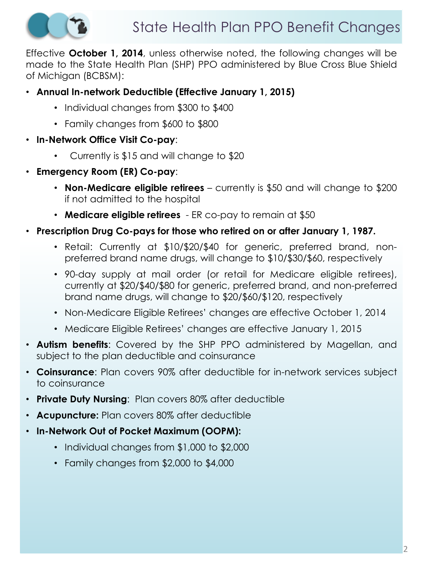

Effective **October 1, 2014**, unless otherwise noted, the following changes will be made to the State Health Plan (SHP) PPO administered by Blue Cross Blue Shield of Michigan (BCBSM):

- **Annual In-network Deductible (Effective January 1, 2015)**
	- Individual changes from \$300 to \$400
	- Family changes from \$600 to \$800
- **In-Network Office Visit Co-pay**:
	- Currently is \$15 and will change to \$20
- **Emergency Room (ER) Co-pay**:
	- **Non-Medicare eligible retirees** currently is \$50 and will change to \$200 if not admitted to the hospital
	- **Medicare eligible retirees**  ER co-pay to remain at \$50
- **Prescription Drug Co-pays for those who retired on or after January 1, 1987.** 
	- Retail: Currently at \$10/\$20/\$40 for generic, preferred brand, nonpreferred brand name drugs, will change to \$10/\$30/\$60, respectively
	- 90-day supply at mail order (or retail for Medicare eligible retirees), currently at \$20/\$40/\$80 for generic, preferred brand, and non-preferred brand name drugs, will change to \$20/\$60/\$120, respectively
	- Non-Medicare Eligible Retirees' changes are effective October 1, 2014
	- Medicare Eligible Retirees' changes are effective January 1, 2015
- **Autism benefits**: Covered by the SHP PPO administered by Magellan, and subject to the plan deductible and coinsurance
- **Coinsurance**: Plan covers 90% after deductible for in-network services subject to coinsurance
- **Private Duty Nursing**: Plan covers 80% after deductible
- **Acupuncture:** Plan covers 80% after deductible
- **In-Network Out of Pocket Maximum (OOPM):**
	- Individual changes from \$1,000 to \$2,000
	- Family changes from \$2,000 to \$4,000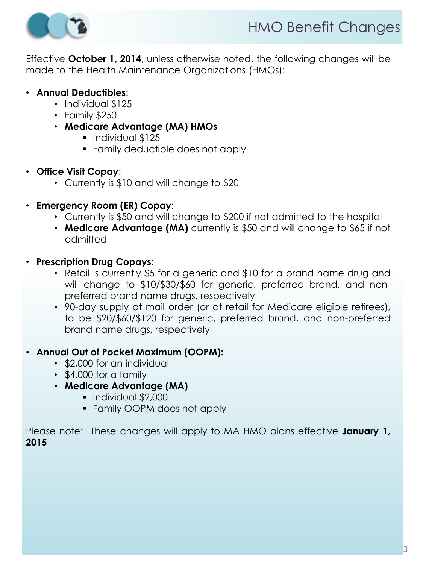

Effective **October 1, 2014**, unless otherwise noted, the following changes will be made to the Health Maintenance Organizations (HMOs):

### • **Annual Deductibles**:

- Individual \$125
- Family \$250
- **Medicare Advantage (MA) HMOs**
	- **Individual \$125**
	- Family deductible does not apply
- **Office Visit Copay**:
	- Currently is \$10 and will change to \$20
- **Emergency Room (ER) Copay**:
	- Currently is \$50 and will change to \$200 if not admitted to the hospital
	- **Medicare Advantage (MA)** currently is \$50 and will change to \$65 if not admitted
- **Prescription Drug Copays**:
	- Retail is currently \$5 for a generic and \$10 for a brand name drug and will change to \$10/\$30/\$60 for generic, preferred brand, and nonpreferred brand name drugs, respectively
	- 90-day supply at mail order (or at retail for Medicare eligible retirees), to be \$20/\$60/\$120 for generic, preferred brand, and non-preferred brand name drugs, respectively

#### • **Annual Out of Pocket Maximum (OOPM):**

- \$2,000 for an individual
- \$4,000 for a family
- **Medicare Advantage (MA)**
	- **Individual \$2,000**
	- **Family OOPM does not apply**

Please note: These changes will apply to MA HMO plans effective **January 1, 2015**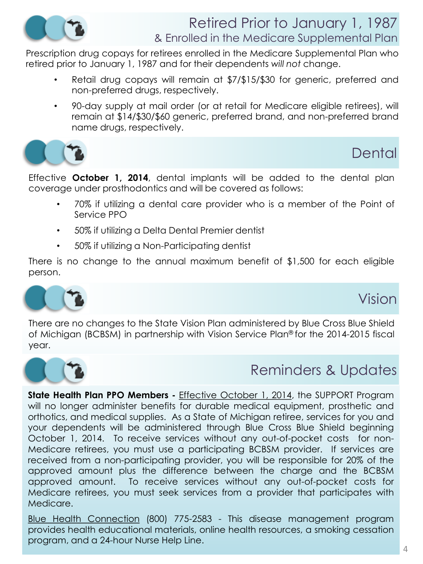

### Retired Prior to January 1, 1987 & Enrolled in the Medicare Supplemental Plan

Prescription drug copays for retirees enrolled in the Medicare Supplemental Plan who retired prior to January 1, 1987 and for their dependents *will not* change.

- Retail drug copays will remain at \$7/\$15/\$30 for generic, preferred and non-preferred drugs, respectively.
- 90-day supply at mail order (or at retail for Medicare eligible retirees), will remain at \$14/\$30/\$60 generic, preferred brand, and non-preferred brand name drugs, respectively.



# **Dental**

Effective **October 1, 2014**, dental implants will be added to the dental plan coverage under prosthodontics and will be covered as follows:

- 70% if utilizing a dental care provider who is a member of the Point of Service PPO
- 50% if utilizing a Delta Dental Premier dentist
- 50% if utilizing a Non-Participating dentist

There is no change to the annual maximum benefit of \$1,500 for each eligible person.



# Vision

There are no changes to the State Vision Plan administered by Blue Cross Blue Shield of Michigan (BCBSM) in partnership with Vision Service Plan® for the 2014-2015 fiscal year.



# Reminders & Updates

**State Health Plan PPO Members -** Effective October 1, 2014, the SUPPORT Program will no longer administer benefits for durable medical equipment, prosthetic and orthotics, and medical supplies. As a State of Michigan retiree, services for you and your dependents will be administered through Blue Cross Blue Shield beginning October 1, 2014. To receive services without any out-of-pocket costs for non-Medicare retirees, you must use a participating BCBSM provider. If services are received from a non-participating provider, you will be responsible for 20% of the approved amount plus the difference between the charge and the BCBSM approved amount. To receive services without any out-of-pocket costs for Medicare retirees, you must seek services from a provider that participates with Medicare.

Blue Health Connection (800) 775-2583 - This disease management program provides health educational materials, online health resources, a smoking cessation program, and a 24-hour Nurse Help Line.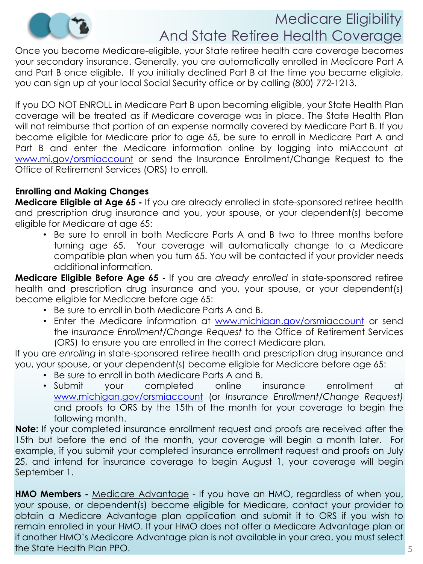

# Medicare Eligibility And State Retiree Health Coverage

Once you become Medicare-eligible, your State retiree health care coverage becomes your secondary insurance. Generally, you are automatically enrolled in Medicare Part A and Part B once eligible. If you initially declined Part B at the time you became eligible, you can sign up at your local Social Security office or by calling (800) 772-1213.

If you DO NOT ENROLL in Medicare Part B upon becoming eligible, your State Health Plan coverage will be treated as if Medicare coverage was in place. The State Health Plan will not reimburse that portion of an expense normally covered by Medicare Part B. If you become eligible for Medicare prior to age 65, be sure to enroll in Medicare Part A and Part B and enter the Medicare information online by logging into miAccount at [www.mi.gov/orsmiaccount](http://www.mi.gov/orsmiaccount) or send the Insurance Enrollment/Change Request to the Office of Retirement Services (ORS) to enroll.

#### **Enrolling and Making Changes**

**Medicare Eligible at Age 65 -** If you are already enrolled in state-sponsored retiree health and prescription drug insurance and you, your spouse, or your dependent(s) become eligible for Medicare at age 65:

• Be sure to enroll in both Medicare Parts A and B two to three months before turning age 65. Your coverage will automatically change to a Medicare compatible plan when you turn 65. You will be contacted if your provider needs additional information.

**Medicare Eligible Before Age 65 -** If you are *already enrolled* in state-sponsored retiree health and prescription drug insurance and you, your spouse, or your dependent(s) become eligible for Medicare before age 65:

- Be sure to enroll in both Medicare Parts A and B.
- Enter the Medicare information at [www.michigan.gov/orsmiaccount](http://www.michigan.gov/orsmiaccount) or send the *Insurance Enrollment/Change Request* to the Office of Retirement Services (ORS) to ensure you are enrolled in the correct Medicare plan.

If you are *enrolling* in state-sponsored retiree health and prescription drug insurance and you, your spouse, or your dependent(s) become eligible for Medicare before age 65:

- Be sure to enroll in both Medicare Parts A and B.
- Submit your completed online insurance enrollment at [www.michigan.gov/orsmiaccount](http://www.michigan.gov/orsmiaccount) (or *Insurance Enrollment/Change Request)* and proofs to ORS by the 15th of the month for your coverage to begin the following month.

**Note:** If your completed insurance enrollment request and proofs are received after the 15th but before the end of the month, your coverage will begin a month later. For example, if you submit your completed insurance enrollment request and proofs on July 25, and intend for insurance coverage to begin August 1, your coverage will begin September 1.

**HMO Members -** Medicare Advantage - If you have an HMO, regardless of when you, your spouse, or dependent(s) become eligible for Medicare, contact your provider to obtain a Medicare Advantage plan application and submit it to ORS if you wish to remain enrolled in your HMO. If your HMO does not offer a Medicare Advantage plan or if another HMO's Medicare Advantage plan is not available in your area, you must select the State Health Plan PPO.